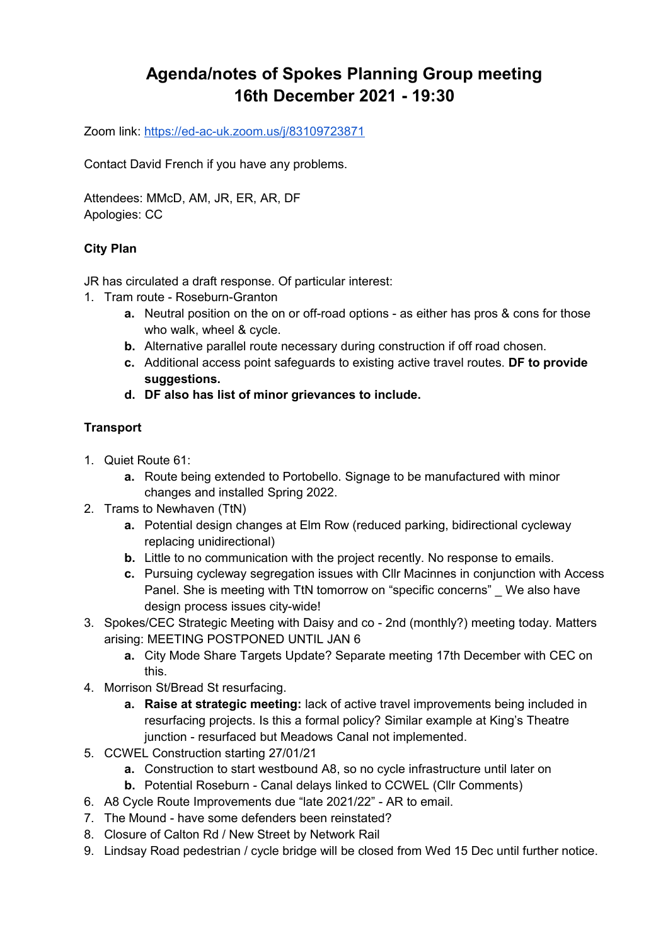# **Agenda/notes of Spokes Planning Group meeting 16th December 2021 - 19:30**

Zoom link:<https://ed-ac-uk.zoom.us/j/83109723871>

Contact David French if you have any problems.

Attendees: MMcD, AM, JR, ER, AR, DF Apologies: CC

## **City Plan**

JR has circulated a draft response. Of particular interest:

- 1. Tram route Roseburn-Granton
	- **a.** Neutral position on the on or off-road options as either has pros & cons for those who walk, wheel & cycle.
	- **b.** Alternative parallel route necessary during construction if off road chosen.
	- **c.** Additional access point safeguards to existing active travel routes. **DF to provide suggestions.**
	- **d. DF also has list of minor grievances to include.**

# **Transport**

- 1. Quiet Route 61:
	- **a.** Route being extended to Portobello. Signage to be manufactured with minor changes and installed Spring 2022.
- 2. Trams to Newhaven (TtN)
	- **a.** Potential design changes at Elm Row (reduced parking, bidirectional cycleway replacing unidirectional)
	- **b.** Little to no communication with the project recently. No response to emails.
	- **c.** Pursuing cycleway segregation issues with Cllr Macinnes in conjunction with Access Panel. She is meeting with TtN tomorrow on "specific concerns" We also have design process issues city-wide!
- 3. Spokes/CEC Strategic Meeting with Daisy and co 2nd (monthly?) meeting today. Matters arising: MEETING POSTPONED UNTIL JAN 6
	- **a.** City Mode Share Targets Update? Separate meeting 17th December with CEC on this.
- 4. Morrison St/Bread St resurfacing.
	- **a. Raise at strategic meeting:** lack of active travel improvements being included in resurfacing projects. Is this a formal policy? Similar example at King's Theatre junction - resurfaced but Meadows Canal not implemented.
- 5. CCWEL Construction starting 27/01/21
	- **a.** Construction to start westbound A8, so no cycle infrastructure until later on
	- **b.** Potential Roseburn Canal delays linked to CCWEL (Cllr Comments)
- 6. A8 Cycle Route Improvements due "late 2021/22" AR to email.
- 7. The Mound have some defenders been reinstated?
- 8. Closure of Calton Rd / New Street by Network Rail
- 9. Lindsay Road pedestrian / cycle bridge will be closed from Wed 15 Dec until further notice.